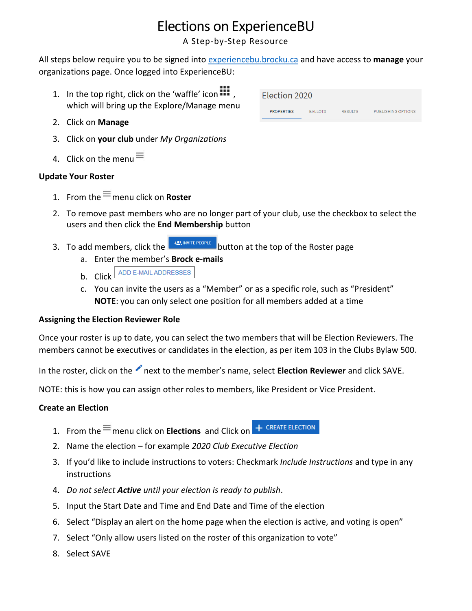# Elections on ExperienceBU

A Step-by-Step Resource

All steps below require you to be signed into [experiencebu.brocku.ca](file:///C:/Users/ascholtens/AppData/Local/Microsoft/Windows/INetCache/Content.Outlook/CNTQABO4/experiencebu.brocku.ca) and have access to **manage** your organizations page. Once logged into ExperienceBU:

- 1. In the top right, click on the 'waffle' icon  $\mathbf{III}$ , which will bring up the Explore/Manage menu
- 2. Click on **Manage**
- 3. Click on **your club** under *My Organizations*
- 4. Click on the menu $\equiv$

## **Update Your Roster**

- 1. From the  $\equiv$  menu click on **Roster**
- 2. To remove past members who are no longer part of your club, use the checkbox to select the users and then click the **End Membership** button
- 3. To add members, click the **button at the top of the Roster page** 
	- a. Enter the member's **Brock e-mails**
	- **b.** Click ADD E-MAIL ADDRESSES
	- c. You can invite the users as a "Member" or as a specific role, such as "President" **NOTE**: you can only select one position for all members added at a time

#### **Assigning the Election Reviewer Role**

Once your roster is up to date, you can select the two members that will be Election Reviewers. The members cannot be executives or candidates in the election, as per item 103 in the Clubs Bylaw 500.

In the roster, click on the next to the member's name, select **Election Reviewer** and click SAVE.

NOTE: this is how you can assign other roles to members, like President or Vice President.

#### **Create an Election**

- + CREATE ELECTION 1. From the  $\equiv$  menu click on **Elections** and Click on
- 2. Name the election for example *2020 Club Executive Election*
- 3. If you'd like to include instructions to voters: Checkmark *Include Instructions* and type in any instructions
- 4. *Do not select Active until your election is ready to publish*.
- 5. Input the Start Date and Time and End Date and Time of the election
- 6. Select "Display an alert on the home page when the election is active, and voting is open"
- 7. Select "Only allow users listed on the roster of this organization to vote"
- 8. Select SAVE